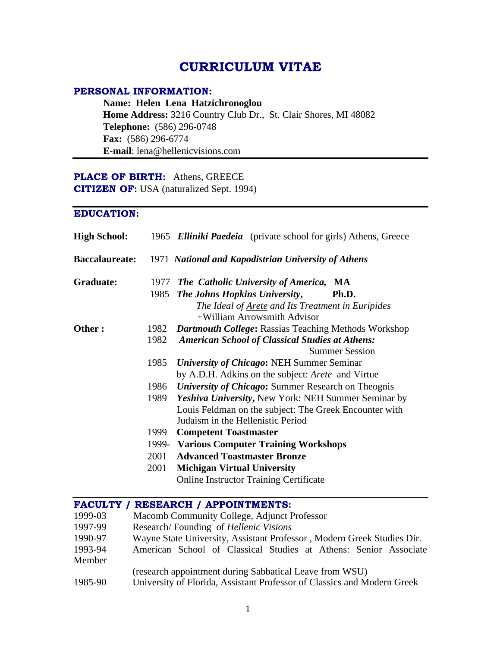# **CURRICULUM VITAE**

### PERSONAL INFORMATION:

**Name: Helen Lena Hatzichronoglou Home Address:** 3216 Country Club Dr., St. Clair Shores, MI 48082 **Telephone:** (586) 296-0748 **Fax:** (586) 296-6774 **E-mail**: lena@hellenicvisions.com

# PLACE OF BIRTH: Athens, GREECE

**CITIZEN OF:** USA (naturalized Sept. 1994)

### **EDUCATION:**

| <b>High School:</b>   | 1965. | <b>Elliniki Paedeia</b> (private school for girls) Athens, Greece |
|-----------------------|-------|-------------------------------------------------------------------|
| <b>Baccalaureate:</b> | 1971  | <b>National and Kapodistrian University of Athens</b>             |
| <b>Graduate:</b>      |       | 1977 The Catholic University of America, MA                       |
|                       | 1985  | The Johns Hopkins University,<br>Ph.D.                            |
|                       |       | The Ideal of Arete and Its Treatment in Euripides                 |
|                       |       | +William Arrowsmith Advisor                                       |
| Other:                | 1982  | <b>Dartmouth College: Rassias Teaching Methods Workshop</b>       |
|                       | 1982  | <b>American School of Classical Studies at Athens:</b>            |
|                       |       | <b>Summer Session</b>                                             |
|                       | 1985  | <b>University of Chicago: NEH Summer Seminar</b>                  |
|                       |       | by A.D.H. Adkins on the subject: <i>Arete</i> and Virtue          |
|                       | 1986  | <b>University of Chicago:</b> Summer Research on Theognis         |
|                       | 1989  | Yeshiva University, New York: NEH Summer Seminar by               |
|                       |       | Louis Feldman on the subject: The Greek Encounter with            |
|                       |       | Judaism in the Hellenistic Period                                 |
|                       | 1999  | <b>Competent Toastmaster</b>                                      |
|                       | 1999- | <b>Various Computer Training Workshops</b>                        |
|                       | 2001  | <b>Advanced Toastmaster Bronze</b>                                |
|                       | 2001  | <b>Michigan Virtual University</b>                                |
|                       |       | <b>Online Instructor Training Certificate</b>                     |

### **:**

- 1999-03 Macomb Community College, Adjunct Professor
- 1997-99 Research/ Founding of *Hellenic Visions*
- 1990-97 Wayne State University, Assistant Professor , Modern Greek Studies Dir.
- 1993-94 American School of Classical Studies at Athens: Senior Associate Member **Manual**
- (research appointment during Sabbatical Leave from WSU)
- 1985-90 University of Florida, Assistant Professor of Classics and Modern Greek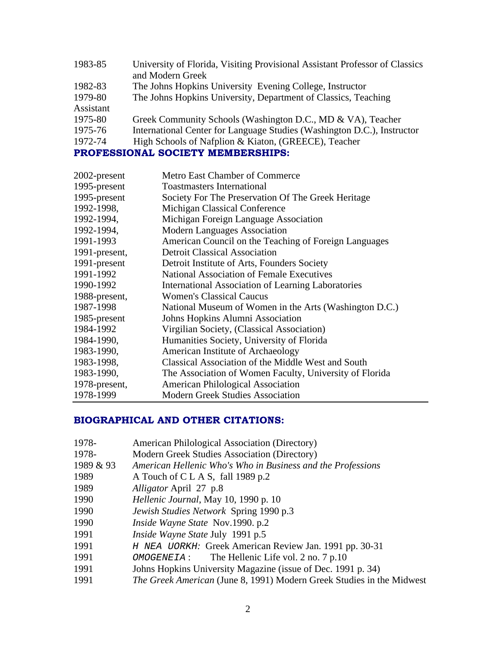| 1983-85   | University of Florida, Visiting Provisional Assistant Professor of Classics |  |
|-----------|-----------------------------------------------------------------------------|--|
|           | and Modern Greek                                                            |  |
| 1982-83   | The Johns Hopkins University Evening College, Instructor                    |  |
| 1979-80   | The Johns Hopkins University, Department of Classics, Teaching              |  |
| Assistant |                                                                             |  |
| 1975-80   | Greek Community Schools (Washington D.C., MD & VA), Teacher                 |  |
| 1975-76   | International Center for Language Studies (Washington D.C.), Instructor     |  |
| 1972-74   | High Schools of Nafplion & Kiaton, (GREECE), Teacher                        |  |
|           | PROFESSIONAL SOCIETY MEMBERSHIPS:                                           |  |

| 2002-present  | <b>Metro East Chamber of Commerce</b>                   |  |
|---------------|---------------------------------------------------------|--|
| 1995-present  | <b>Toastmasters International</b>                       |  |
| 1995-present  | Society For The Preservation Of The Greek Heritage      |  |
| 1992-1998,    | Michigan Classical Conference                           |  |
| 1992-1994,    | Michigan Foreign Language Association                   |  |
| 1992-1994,    | <b>Modern Languages Association</b>                     |  |
| 1991-1993     | American Council on the Teaching of Foreign Languages   |  |
| 1991-present, | <b>Detroit Classical Association</b>                    |  |
| 1991-present  | Detroit Institute of Arts, Founders Society             |  |
| 1991-1992     | <b>National Association of Female Executives</b>        |  |
| 1990-1992     | International Association of Learning Laboratories      |  |
| 1988-present, | <b>Women's Classical Caucus</b>                         |  |
| 1987-1998     | National Museum of Women in the Arts (Washington D.C.)  |  |
| 1985-present  | Johns Hopkins Alumni Association                        |  |
| 1984-1992     | Virgilian Society, (Classical Association)              |  |
| 1984-1990,    | Humanities Society, University of Florida               |  |
| 1983-1990,    | <b>American Institute of Archaeology</b>                |  |
| 1983-1998,    | Classical Association of the Middle West and South      |  |
| 1983-1990,    | The Association of Women Faculty, University of Florida |  |
| 1978-present, | <b>American Philological Association</b>                |  |
| 1978-1999     | <b>Modern Greek Studies Association</b>                 |  |

#### **BIOGRAPHICAL AND OTHER CITATIONS:**

- 1978- American Philological Association (Directory)
- 1978- Modern Greek Studies Association (Directory)
- 1989 & 93 *American Hellenic Who's Who in Business and the Professions*
- 1989 **A Touch of C L A S**, fall 1989 p.2
- 1989 *Alligator* April 27 p.8
- 1990 *Hellenic Journal*, May 10, 1990 p. 10
- 1990 *Jewish Studies Network* Spring 1990 p.3
- 1990 *Inside Wayne State* Nov.1990. p.2
- 1991 *Inside Wayne State* July 1991 p.5
- 1991 H NEA UORKH*:* Greek American Review Jan. 1991 pp. 30-31
- 1991 OMOGENEIA : The Hellenic Life vol. 2 no. 7 p.10
- 1991 Johns Hopkins University Magazine (issue of Dec. 1991 p. 34)
- 1991 *The Greek American* (June 8, 1991) Modern Greek Studies in the Midwest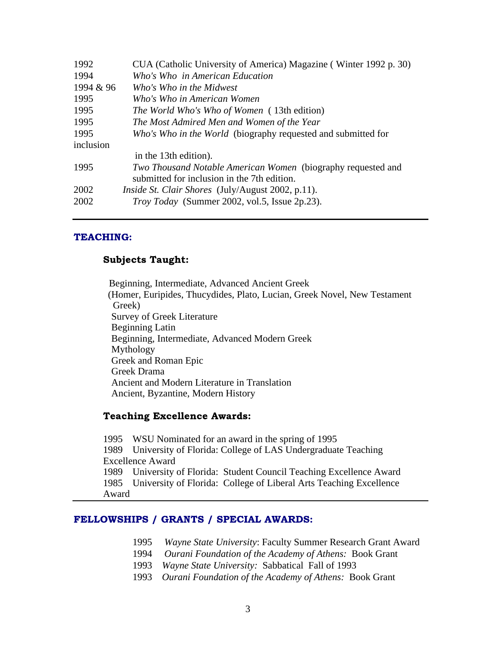| CUA (Catholic University of America) Magazine (Winter 1992 p. 30) |                                             |
|-------------------------------------------------------------------|---------------------------------------------|
| Who's Who in American Education                                   |                                             |
| 1994 & 96<br>Who's Who in the Midwest                             |                                             |
| Who's Who in American Women                                       |                                             |
| The World Who's Who of Women (13th edition)                       |                                             |
| The Most Admired Men and Women of the Year                        |                                             |
| Who's Who in the World (biography requested and submitted for     |                                             |
|                                                                   |                                             |
| in the 13th edition).                                             |                                             |
| Two Thousand Notable American Women (biography requested and      |                                             |
|                                                                   |                                             |
| <i>Inside St. Clair Shores</i> (July/August 2002, p.11).          |                                             |
| <i>Troy Today</i> (Summer 2002, vol.5, Issue 2p.23).              |                                             |
|                                                                   | submitted for inclusion in the 7th edition. |

#### **TEACHING:**

### **Subjects Taught:**

Beginning, Intermediate, Advanced Ancient Greek (Homer, Euripides, Thucydides, Plato, Lucian, Greek Novel, New Testament Greek) Survey of Greek Literature Beginning Latin Beginning, Intermediate, Advanced Modern Greek Mythology Greek and Roman Epic Greek Drama Ancient and Modern Literature in Translation Ancient, Byzantine, Modern History

#### **Teaching Excellence Awards:**

 WSU Nominated for an award in the spring of 1995 University of Florida: College of LAS Undergraduate Teaching Excellence Award University of Florida: Student Council Teaching Excellence Award University of Florida: College of Liberal Arts Teaching Excellence Award

#### FELLOWSHIPS / GRANTS / SPECIAL AWARDS:

- 1995 *Wayne State University*: Faculty Summer Research Grant Award
- 1994 *Ourani Foundation of the Academy of Athens:* Book Grant
- 1993 *Wayne State University:* Sabbatical Fall of 1993
- 1993 *Ourani Foundation of the Academy of Athens:* Book Grant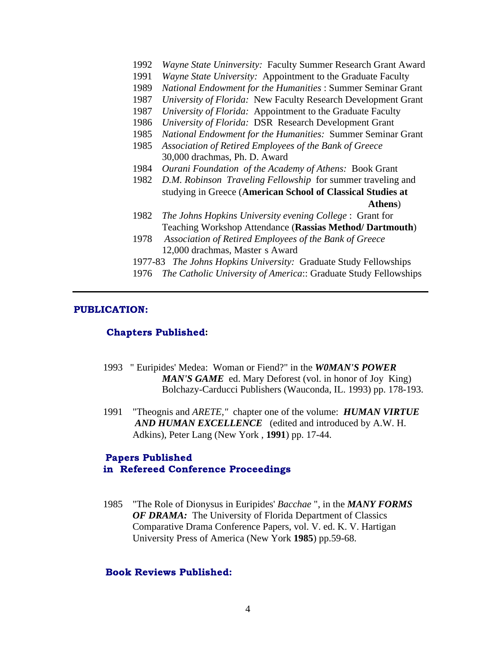- 1992 *Wayne State Uninversity:* Faculty Summer Research Grant Award
- 1991 *Wayne State University:* Appointment to the Graduate Faculty
- 1989 *National Endowment for the Humanities* : Summer Seminar Grant
- 1987 *University of Florida:* New Faculty Research Development Grant
- 1987 *University of Florida:* Appointment to the Graduate Faculty
- 1986 *University of Florida:* DSR Research Development Grant
- 1985 National Endowment for the Humanities: Summer Seminar Grant
- 1985 *Association of Retired Employees of the Bank of Greece* 30,000 drachmas, Ph. D. Award
- 1984 *Ourani Foundation of the Academy of Athens:* Book Grant
- 1982 *D.M. Robinson Traveling Fellowship* for summer traveling and studying in Greece (**American School of Classical Studies at Athens**)
- 1982 *The Johns Hopkins University evening College* : Grant for Teaching Workshop Attendance (**Rassias Method/ Dartmouth**)
- 1978 *Association of Retired Employees of the Bank of Greece* 12,000 drachmas, Master s Award
- 1977-83 *The Johns Hopkins University:* Graduate Study Fellowships
- 1976 *The Catholic University of America*:: Graduate Study Fellowships

#### **PUBLICATION:**

#### **:**

- 1993 " Euripides' Medea: Woman or Fiend?" in the *W0MAN'S POWER MAN'S GAME* ed. Mary Deforest (vol. in honor of Joy King) Bolchazy-Carducci Publishers (Wauconda, IL. 1993) pp. 178-193.
- 1991 "Theognis and *ARETE,"* chapter one of the volume: *HUMAN VIRTUE AND HUMAN EXCELLENCE* (edited and introduced by A.W. H. Adkins), Peter Lang (New York , **1991**) pp. 17-44.

### **Papers Published** in Refereed Conference Proceedings

1985 "The Role of Dionysus in Euripides' *Bacchae* ", in the *MANY FORMS OF DRAMA:* The University of Florida Department of Classics Comparative Drama Conference Papers, vol. V. ed. K. V. Hartigan University Press of America (New York **1985**) pp.59-68.

#### **Book Reviews Published:**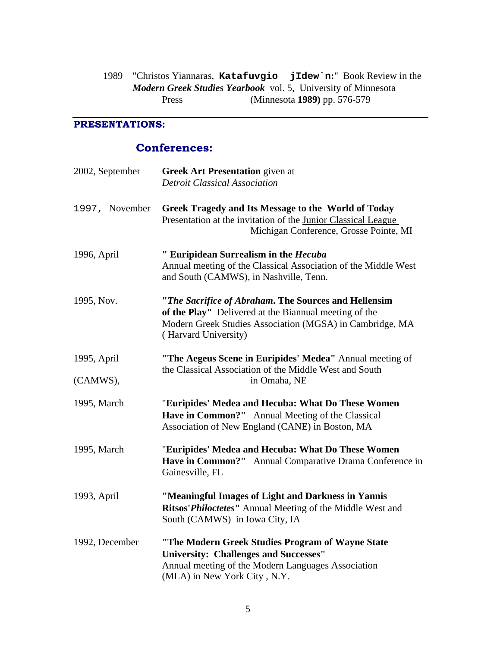1989 "Christos Yiannaras, **Katafuvgio jIdew`n:**" Book Review in the *Modern Greek Studies Yearbook* vol. 5, University of Minnesota Press (Minnesota **1989)** pp. 576-579

### **PRESENTATIONS:**

# **Conferences:**

| 2002, September         | <b>Greek Art Presentation</b> given at<br><b>Detroit Classical Association</b>                                                                                                                    |
|-------------------------|---------------------------------------------------------------------------------------------------------------------------------------------------------------------------------------------------|
| 1997, November          | Greek Tragedy and Its Message to the World of Today<br>Presentation at the invitation of the Junior Classical League<br>Michigan Conference, Grosse Pointe, MI                                    |
| 1996, April             | " Euripidean Surrealism in the Hecuba<br>Annual meeting of the Classical Association of the Middle West<br>and South (CAMWS), in Nashville, Tenn.                                                 |
| 1995, Nov.              | "The Sacrifice of Abraham. The Sources and Hellensim<br>of the Play" Delivered at the Biannual meeting of the<br>Modern Greek Studies Association (MGSA) in Cambridge, MA<br>(Harvard University) |
| 1995, April<br>(CAMWS), | "The Aegeus Scene in Euripides' Medea" Annual meeting of<br>the Classical Association of the Middle West and South<br>in Omaha, NE                                                                |
| 1995, March             | "Euripides' Medea and Hecuba: What Do These Women                                                                                                                                                 |
|                         | Have in Common?" Annual Meeting of the Classical<br>Association of New England (CANE) in Boston, MA                                                                                               |
| 1995, March             | "Euripides' Medea and Hecuba: What Do These Women<br>Have in Common?" Annual Comparative Drama Conference in<br>Gainesville, FL                                                                   |
| 1993, April             | "Meaningful Images of Light and Darkness in Yannis<br>Ritsos' Philoctetes" Annual Meeting of the Middle West and<br>South (CAMWS) in Iowa City, IA                                                |
| 1992, December          | "The Modern Greek Studies Program of Wayne State<br><b>University: Challenges and Successes"</b><br>Annual meeting of the Modern Languages Association<br>(MLA) in New York City, N.Y.            |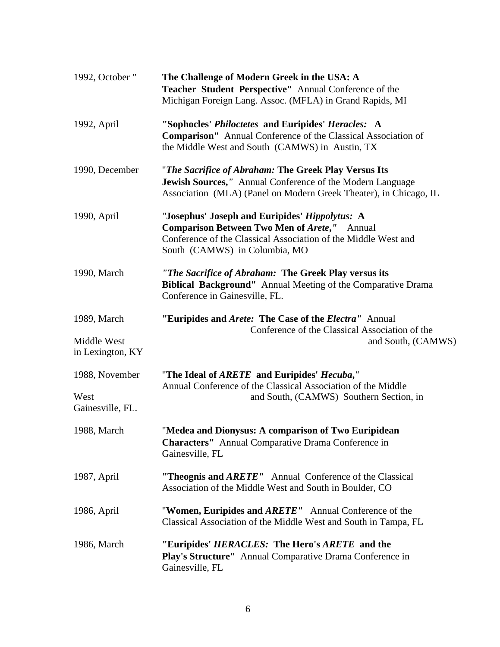| 1992, October "                 | The Challenge of Modern Greek in the USA: A<br>Teacher Student Perspective" Annual Conference of the<br>Michigan Foreign Lang. Assoc. (MFLA) in Grand Rapids, MI                                         |  |
|---------------------------------|----------------------------------------------------------------------------------------------------------------------------------------------------------------------------------------------------------|--|
| 1992, April                     | "Sophocles' Philoctetes and Euripides' Heracles: A<br><b>Comparison"</b> Annual Conference of the Classical Association of<br>the Middle West and South (CAMWS) in Austin, TX                            |  |
| 1990, December                  | "The Sacrifice of Abraham: The Greek Play Versus Its<br>Jewish Sources," Annual Conference of the Modern Language<br>Association (MLA) (Panel on Modern Greek Theater), in Chicago, IL                   |  |
| 1990, April                     | "Josephus' Joseph and Euripides' Hippolytus: A<br><b>Comparison Between Two Men of Arete,"</b> Annual<br>Conference of the Classical Association of the Middle West and<br>South (CAMWS) in Columbia, MO |  |
| 1990, March                     | "The Sacrifice of Abraham: The Greek Play versus its<br>Biblical Background" Annual Meeting of the Comparative Drama<br>Conference in Gainesville, FL.                                                   |  |
| 1989, March                     | "Euripides and <i>Arete</i> : The Case of the <i>Electra</i> " Annual                                                                                                                                    |  |
| Middle West<br>in Lexington, KY | Conference of the Classical Association of the<br>and South, (CAMWS)                                                                                                                                     |  |
| 1988, November                  | "The Ideal of ARETE and Euripides' Hecuba,"<br>Annual Conference of the Classical Association of the Middle                                                                                              |  |
| West<br>Gainesville, FL.        | and South, (CAMWS) Southern Section, in                                                                                                                                                                  |  |
| 1988, March                     | "Medea and Dionysus: A comparison of Two Euripidean<br><b>Characters"</b> Annual Comparative Drama Conference in<br>Gainesville, FL                                                                      |  |
| 1987, April                     | "Theognis and ARETE" Annual Conference of the Classical<br>Association of the Middle West and South in Boulder, CO                                                                                       |  |
| 1986, April                     | "Women, Euripides and ARETE" Annual Conference of the<br>Classical Association of the Middle West and South in Tampa, FL                                                                                 |  |
| 1986, March                     | "Euripides' HERACLES: The Hero's ARETE and the<br>Play's Structure" Annual Comparative Drama Conference in<br>Gainesville, FL                                                                            |  |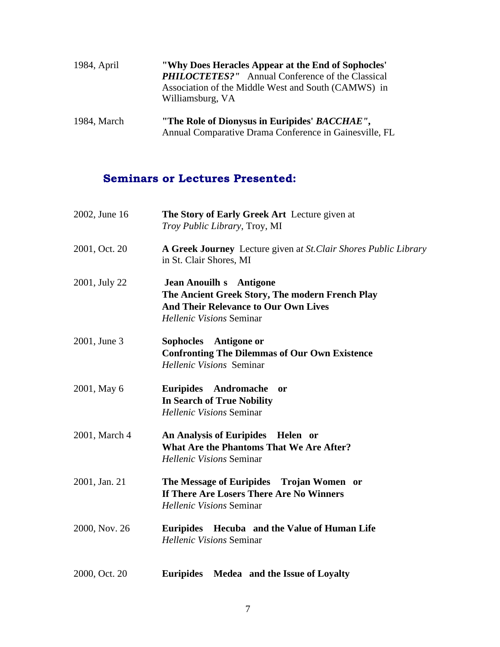| 1984, April | "Why Does Heracles Appear at the End of Sophocles"<br><b>PHILOCTETES?"</b> Annual Conference of the Classical<br>Association of the Middle West and South (CAMWS) in<br>Williamsburg, VA |  |
|-------------|------------------------------------------------------------------------------------------------------------------------------------------------------------------------------------------|--|
| 1984, March | "The Role of Dionysus in Euripides' BACCHAE",<br>Annual Comparative Drama Conference in Gainesville, FL                                                                                  |  |

# **Seminars or Lectures Presented:**

| 2002, June 16 | The Story of Early Greek Art Lecture given at<br>Troy Public Library, Troy, MI                                                                                      |  |
|---------------|---------------------------------------------------------------------------------------------------------------------------------------------------------------------|--|
| 2001, Oct. 20 | A Greek Journey Lecture given at St. Clair Shores Public Library<br>in St. Clair Shores, MI                                                                         |  |
| 2001, July 22 | <b>Jean Anouilh s</b> Antigone<br>The Ancient Greek Story, The modern French Play<br><b>And Their Relevance to Our Own Lives</b><br><b>Hellenic Visions Seminar</b> |  |
| 2001, June 3  | Sophocles Antigone or<br><b>Confronting The Dilemmas of Our Own Existence</b><br>Hellenic Visions Seminar                                                           |  |
| 2001, May 6   | Euripides Andromache or<br><b>In Search of True Nobility</b><br><b>Hellenic Visions Seminar</b>                                                                     |  |
| 2001, March 4 | An Analysis of Euripides Helen or<br><b>What Are the Phantoms That We Are After?</b><br><b>Hellenic Visions Seminar</b>                                             |  |
| 2001, Jan. 21 | The Message of Euripides Trojan Women or<br>If There Are Losers There Are No Winners<br><b>Hellenic Visions Seminar</b>                                             |  |
| 2000, Nov. 26 | Euripides Hecuba and the Value of Human Life<br><b>Hellenic Visions Seminar</b>                                                                                     |  |
| 2000, Oct. 20 | Euripides Medea and the Issue of Loyalty                                                                                                                            |  |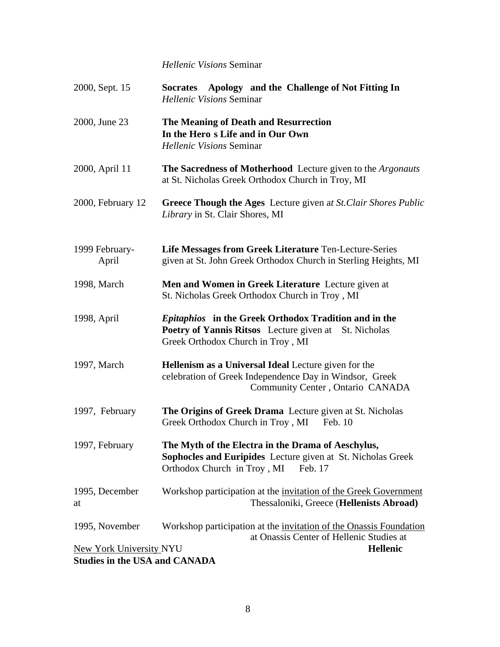### *Hellenic Visions* Seminar

| 2000, Sept. 15                                                         | Socrates Apology and the Challenge of Not Fitting In<br><b>Hellenic Visions Seminar</b>                                                                           |  |
|------------------------------------------------------------------------|-------------------------------------------------------------------------------------------------------------------------------------------------------------------|--|
| 2000, June 23                                                          | The Meaning of Death and Resurrection<br>In the Hero s Life and in Our Own<br>Hellenic Visions Seminar                                                            |  |
| 2000, April 11                                                         | The Sacredness of Motherhood Lecture given to the Argonauts<br>at St. Nicholas Greek Orthodox Church in Troy, MI                                                  |  |
| 2000, February 12                                                      | Greece Though the Ages Lecture given at St. Clair Shores Public<br>Library in St. Clair Shores, MI                                                                |  |
| 1999 February-<br>April                                                | Life Messages from Greek Literature Ten-Lecture-Series<br>given at St. John Greek Orthodox Church in Sterling Heights, MI                                         |  |
| 1998, March                                                            | Men and Women in Greek Literature Lecture given at<br>St. Nicholas Greek Orthodox Church in Troy, MI                                                              |  |
| 1998, April                                                            | <i>Epitaphios</i> in the Greek Orthodox Tradition and in the<br><b>Poetry of Yannis Ritsos</b> Lecture given at St. Nicholas<br>Greek Orthodox Church in Troy, MI |  |
| 1997, March                                                            | Hellenism as a Universal Ideal Lecture given for the<br>celebration of Greek Independence Day in Windsor, Greek<br>Community Center, Ontario CANADA               |  |
| 1997, February                                                         | The Origins of Greek Drama Lecture given at St. Nicholas<br>Greek Orthodox Church in Troy, MI Feb. 10                                                             |  |
| 1997, February                                                         | The Myth of the Electra in the Drama of Aeschylus,<br>Sophocles and Euripides Lecture given at St. Nicholas Greek<br>Orthodox Church in Troy, MI Feb. 17          |  |
| 1995, December<br>at                                                   | Workshop participation at the invitation of the Greek Government<br>Thessaloniki, Greece (Hellenists Abroad)                                                      |  |
| 1995, November                                                         | Workshop participation at the invitation of the Onassis Foundation<br>at Onassis Center of Hellenic Studies at                                                    |  |
| <b>New York University NYU</b><br><b>Studies in the USA and CANADA</b> | Hellenic                                                                                                                                                          |  |
|                                                                        |                                                                                                                                                                   |  |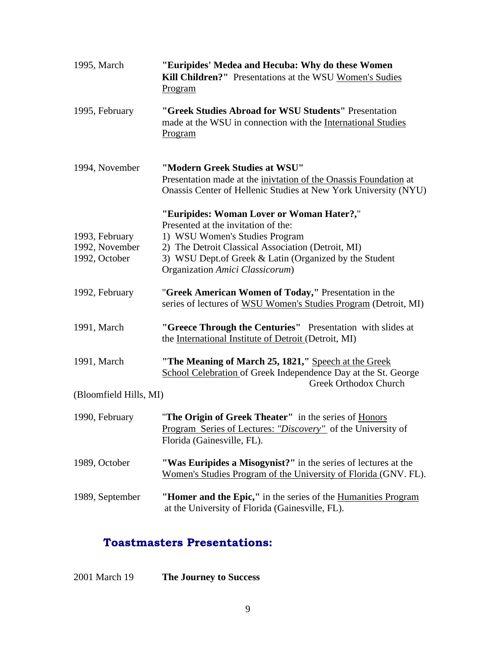| 1995, March                                       | "Euripides' Medea and Hecuba: Why do these Women<br>Kill Children?" Presentations at the WSU Women's Sudies<br>Program                                                                                                                                                |  |  |  |
|---------------------------------------------------|-----------------------------------------------------------------------------------------------------------------------------------------------------------------------------------------------------------------------------------------------------------------------|--|--|--|
| 1995, February                                    | "Greek Studies Abroad for WSU Students" Presentation<br>made at the WSU in connection with the International Studies<br>Program                                                                                                                                       |  |  |  |
| 1994, November                                    | "Modern Greek Studies at WSU"<br>Presentation made at the inivitation of the Onassis Foundation at<br>Onassis Center of Hellenic Studies at New York University (NYU)                                                                                                 |  |  |  |
| 1993, February<br>1992, November<br>1992, October | "Euripides: Woman Lover or Woman Hater?,"<br>Presented at the invitation of the:<br>1) WSU Women's Studies Program<br>2) The Detroit Classical Association (Detroit, MI)<br>3) WSU Dept.of Greek & Latin (Organized by the Student<br>Organization Amici Classicorum) |  |  |  |
| 1992, February                                    | "Greek American Women of Today," Presentation in the<br>series of lectures of WSU Women's Studies Program (Detroit, MI)                                                                                                                                               |  |  |  |
| 1991, March                                       | "Greece Through the Centuries" Presentation with slides at<br>the International Institute of Detroit (Detroit, MI)                                                                                                                                                    |  |  |  |
| 1991, March                                       | "The Meaning of March 25, 1821," Speech at the Greek<br>School Celebration of Greek Independence Day at the St. George                                                                                                                                                |  |  |  |
| (Bloomfield Hills, MI)                            | <b>Greek Orthodox Church</b>                                                                                                                                                                                                                                          |  |  |  |
| 1990, February                                    | "The Origin of Greek Theater" in the series of Honors<br>Program Series of Lectures: "Discovery" of the University of<br>Florida (Gainesville, FL).                                                                                                                   |  |  |  |
| 1989, October                                     | "Was Euripides a Misogynist?" in the series of lectures at the<br>Women's Studies Program of the University of Florida (GNV. FL).                                                                                                                                     |  |  |  |
| 1989, September                                   | "Homer and the Epic," in the series of the Humanities Program<br>at the University of Florida (Gainesville, FL).                                                                                                                                                      |  |  |  |

# **Toastmasters Presentations:**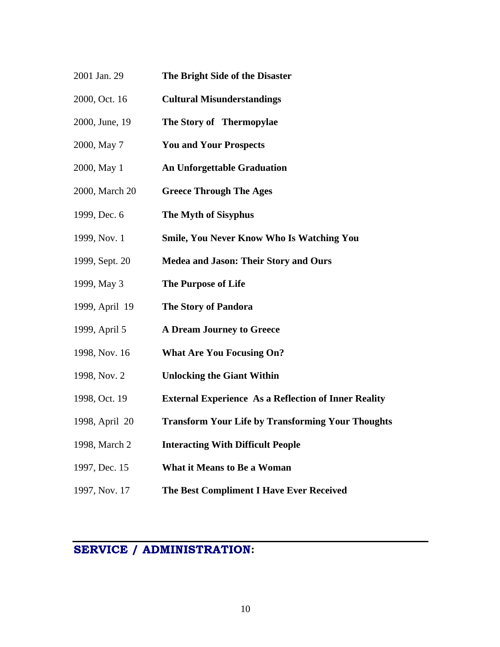- 2001 Jan. 29 **The Bright Side of the Disaster**
- 2000, Oct. 16 **Cultural Misunderstandings**
- 2000, June, 19 **The Story of Thermopylae**
- 2000, May 7 **You and Your Prospects**
- 2000, May 1 **An Unforgettable Graduation**
- 2000, March 20 **Greece Through The Ages**
- 1999, Dec. 6 **The Myth of Sisyphus**
- 1999, Nov. 1 **Smile, You Never Know Who Is Watching You**
- 1999, Sept. 20 **Medea and Jason: Their Story and Ours**
- 1999, May 3 **The Purpose of Life**
- 1999, April 19 **TheStory of Pandora**
- 1999, April 5 **A Dream Journey to Greece**
- 1998, Nov. 16 **What Are You Focusing On?**
- 1998, Nov. 2 **Unlocking the Giant Within**
- 1998, Oct. 19 **External Experience As a Reflection of Inner Reality**
- 1998, April 20 **Transform Your Life by Transforming Your Thoughts**
- 1998, March 2 **Interacting With Difficult People**
- 1997, Dec. 15 **What it Means to Be a Woman**
- 1997, Nov. 17 **The Best Compliment I Have Ever Received**

# **SERVICE / ADMINISTRATION:**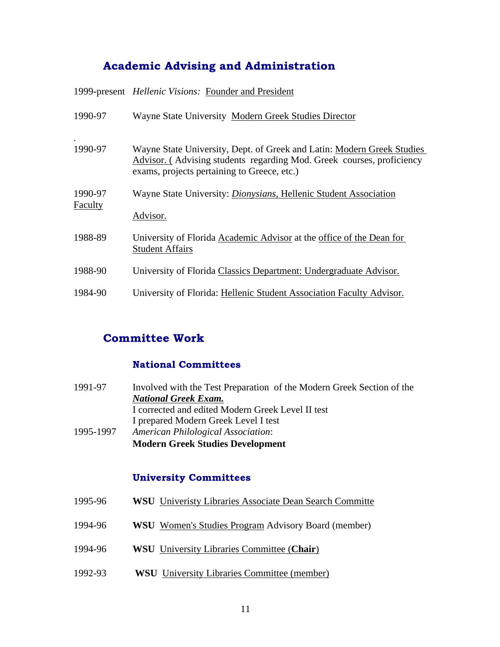# **Academic Advising and Administration**

1999-present *Hellenic Visions:* Founder and President

| 1990-97            | Wayne State University Modern Greek Studies Director                                                                                                                                           |
|--------------------|------------------------------------------------------------------------------------------------------------------------------------------------------------------------------------------------|
| 1990-97            | Wayne State University, Dept. of Greek and Latin: Modern Greek Studies<br>Advisor. (Advising students regarding Mod. Greek courses, proficiency<br>exams, projects pertaining to Greece, etc.) |
| 1990-97<br>Faculty | Wayne State University: <i>Dionysians</i> , Hellenic Student Association                                                                                                                       |
| 1988-89            | Advisor.<br>University of Florida Academic Advisor at the office of the Dean for<br><b>Student Affairs</b>                                                                                     |
| 1988-90            | University of Florida Classics Department: Undergraduate Advisor.                                                                                                                              |
| 1984-90            | University of Florida: Hellenic Student Association Faculty Advisor.                                                                                                                           |

# **Committee Work**

### **National Committees**

| 1991-97   | Involved with the Test Preparation of the Modern Greek Section of the |  |
|-----------|-----------------------------------------------------------------------|--|
|           | <b>National Greek Exam.</b>                                           |  |
|           | I corrected and edited Modern Greek Level II test                     |  |
|           | I prepared Modern Greek Level I test                                  |  |
| 1995-1997 | <b>American Philological Association:</b>                             |  |
|           | <b>Modern Greek Studies Development</b>                               |  |

### **University Committees**

| Jniveristy<br>Dean'<br>i Search Committe<br>Associate<br>Libraries |  |
|--------------------------------------------------------------------|--|
|--------------------------------------------------------------------|--|

- 1994-96 **WSU** Women's Studies Program Advisory Board (member)
- 1994-96 **WSU** University Libraries Committee (**Chair**)
- 1992-93 **WSU** University Libraries Committee (member)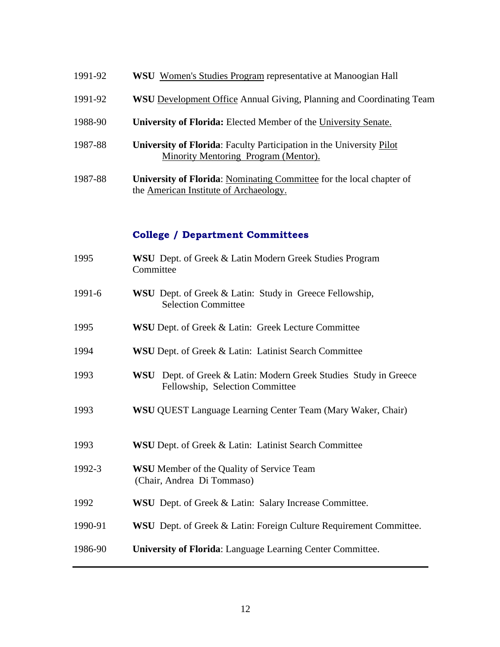- 1991-92 **WSU** Women's Studies Program representative at Manoogian Hall
- 1991-92 **WSU** Development Office Annual Giving, Planning and Coordinating Team
- 1988-90 **University of Florida:** Elected Member of the University Senate.
- 1987-88 **University of Florida**: Faculty Participation in the University Pilot Minority Mentoring Program (Mentor).
- 1987-88 **University of Florida**: Nominating Committee for the local chapter of the American Institute of Archaeology.

### **College / Department Committees**

- 1995 **WSU** Dept. of Greek & Latin Modern Greek Studies Program **Committee** committee 1991-6 **WSU** Dept. of Greek & Latin: Study in Greece Fellowship, Selection Committee 1995 **WSU** Dept. of Greek & Latin: Greek Lecture Committee 1994 **WSU** Dept. of Greek & Latin: Latinist Search Committee 1993 **WSU** Dept. of Greek & Latin: Modern Greek Studies Study in Greece Fellowship, Selection Committee 1993 **WSU** QUEST Language Learning Center Team (Mary Waker, Chair) 1993 **WSU** Dept. of Greek & Latin: Latinist Search Committee 1992-3 **WSU** Member of the Quality of Service Team (Chair, Andrea Di Tommaso)
- 1992 **WSU** Dept. of Greek & Latin: Salary Increase Committee.
- 1990-91 **WSU** Dept. of Greek & Latin: Foreign Culture Requirement Committee.
- 1986-90 **University of Florida**: Language Learning Center Committee.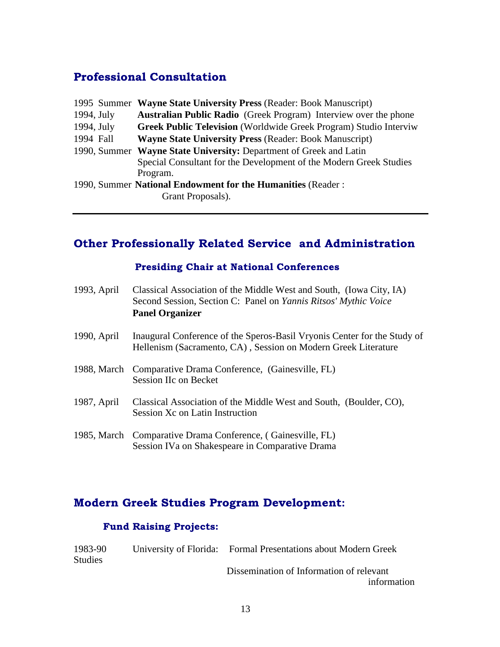# **Professional Consultation**

|                       | 1995 Summer Wayne State University Press (Reader: Book Manuscript)       |  |
|-----------------------|--------------------------------------------------------------------------|--|
| $1994, \mathrm{July}$ | <b>Australian Public Radio</b> (Greek Program) Interview over the phone  |  |
| 1994, July            | <b>Greek Public Television</b> (Worldwide Greek Program) Studio Interviw |  |
| 1994 Fall             | <b>Wayne State University Press (Reader: Book Manuscript)</b>            |  |
|                       | 1990, Summer Wayne State University: Department of Greek and Latin       |  |
|                       | Special Consultant for the Development of the Modern Greek Studies       |  |
|                       | Program.                                                                 |  |
|                       | 1990, Summer National Endowment for the Humanities (Reader:              |  |
|                       | Grant Proposals).                                                        |  |
|                       |                                                                          |  |

# **Other Professionally Related Service and Administration**

### **Presiding Chair at National Conferences**

| 1993, April | Classical Association of the Middle West and South, (Iowa City, IA)<br>Second Session, Section C: Panel on <i>Yannis Ritsos' Mythic Voice</i><br><b>Panel Organizer</b> |
|-------------|-------------------------------------------------------------------------------------------------------------------------------------------------------------------------|
| 1990, April | Inaugural Conference of the Speros-Basil Vryonis Center for the Study of<br>Hellenism (Sacramento, CA), Session on Modern Greek Literature                              |
| 1988, March | Comparative Drama Conference, (Gainesville, FL)<br><b>Session IIc on Becket</b>                                                                                         |
| 1987, April | Classical Association of the Middle West and South, (Boulder, CO),<br>Session Xc on Latin Instruction                                                                   |
| 1985, March | Comparative Drama Conference, (Gainesville, FL)<br>Session IVa on Shakespeare in Comparative Drama                                                                      |

# **:**

### **Fund Raising Projects:**

| 1983-90        | University of Florida: | <b>Formal Presentations about Modern Greek</b> |
|----------------|------------------------|------------------------------------------------|
| <b>Studies</b> |                        |                                                |
|                |                        | Dissemination of Information of relevant       |

information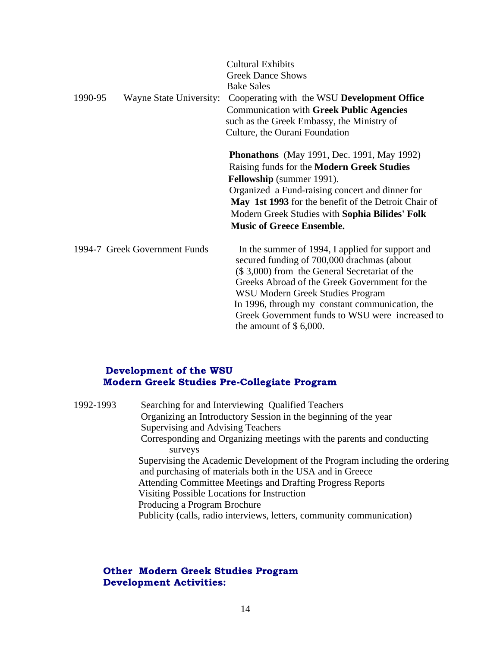| 1990-95                       | <b>Cultural Exhibits</b><br><b>Greek Dance Shows</b><br><b>Bake Sales</b><br>Wayne State University: Cooperating with the WSU Development Office<br><b>Communication with Greek Public Agencies</b><br>such as the Greek Embassy, the Ministry of<br>Culture, the Ourani Foundation                                                                                    |  |
|-------------------------------|------------------------------------------------------------------------------------------------------------------------------------------------------------------------------------------------------------------------------------------------------------------------------------------------------------------------------------------------------------------------|--|
|                               | <b>Phonathons</b> (May 1991, Dec. 1991, May 1992)<br>Raising funds for the Modern Greek Studies<br><b>Fellowship</b> (summer 1991).<br>Organized a Fund-raising concert and dinner for<br>May 1st 1993 for the benefit of the Detroit Chair of<br>Modern Greek Studies with Sophia Bilides' Folk<br><b>Music of Greece Ensemble.</b>                                   |  |
| 1994-7 Greek Government Funds | In the summer of 1994, I applied for support and<br>secured funding of 700,000 drachmas (about<br>(\$3,000) from the General Secretariat of the<br>Greeks Abroad of the Greek Government for the<br>WSU Modern Greek Studies Program<br>In 1996, through my constant communication, the<br>Greek Government funds to WSU were increased to<br>the amount of $$6,000$ . |  |

# **Development of the WSU<br>Modern Greek Studies Pre-Collegiate Program**

| 1992-1993 | Searching for and Interviewing Qualified Teachers                          |  |
|-----------|----------------------------------------------------------------------------|--|
|           | Organizing an Introductory Session in the beginning of the year            |  |
|           | Supervising and Advising Teachers                                          |  |
|           | Corresponding and Organizing meetings with the parents and conducting      |  |
|           | surveys                                                                    |  |
|           | Supervising the Academic Development of the Program including the ordering |  |
|           | and purchasing of materials both in the USA and in Greece                  |  |
|           | Attending Committee Meetings and Drafting Progress Reports                 |  |
|           | Visiting Possible Locations for Instruction                                |  |
|           | Producing a Program Brochure                                               |  |
|           | Publicity (calls, radio interviews, letters, community communication)      |  |
|           |                                                                            |  |

### **Other Modern Greek Studies Program Development Activities:**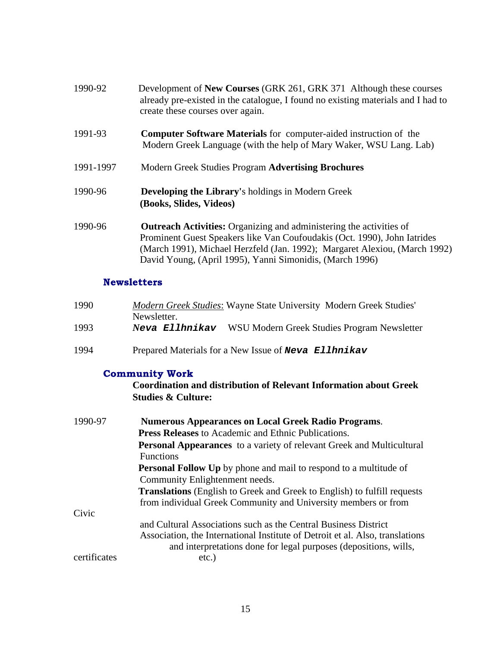| 1990-92   | Development of New Courses (GRK 261, GRK 371 Although these courses<br>already pre-existed in the catalogue, I found no existing materials and I had to<br>create these courses over again.                                                                                                      |  |
|-----------|--------------------------------------------------------------------------------------------------------------------------------------------------------------------------------------------------------------------------------------------------------------------------------------------------|--|
| 1991-93   | <b>Computer Software Materials</b> for computer-aided instruction of the<br>Modern Greek Language (with the help of Mary Waker, WSU Lang. Lab)                                                                                                                                                   |  |
| 1991-1997 | Modern Greek Studies Program Advertising Brochures                                                                                                                                                                                                                                               |  |
| 1990-96   | <b>Developing the Library's holdings in Modern Greek</b><br>(Books, Slides, Videos)                                                                                                                                                                                                              |  |
| 1990-96   | <b>Outreach Activities:</b> Organizing and administering the activities of<br>Prominent Guest Speakers like Van Coufoudakis (Oct. 1990), John Iatrides<br>(March 1991), Michael Herzfeld (Jan. 1992); Margaret Alexiou, (March 1992)<br>David Young, (April 1995), Yanni Simonidis, (March 1996) |  |

### **Newsletters**

| 1990 | Modern Greek Studies: Wayne State University Modern Greek Studies' |
|------|--------------------------------------------------------------------|
|      | Newsletter.                                                        |
| 1993 | Neva Ellhnikav WSU Modern Greek Studies Program Newsletter         |
|      |                                                                    |
| 1994 | Prepared Materials for a New Issue of <b>Neva</b> Ellhnikav        |

### **Community Work**

**Coordination and distribution of Relevant Information about Greek Studies & Culture:**

| 1990-97      | <b>Numerous Appearances on Local Greek Radio Programs.</b>                      |
|--------------|---------------------------------------------------------------------------------|
|              | <b>Press Releases</b> to Academic and Ethnic Publications.                      |
|              | Personal Appearances to a variety of relevant Greek and Multicultural           |
|              | <b>Functions</b>                                                                |
|              | <b>Personal Follow Up</b> by phone and mail to respond to a multitude of        |
|              | Community Enlightenment needs.                                                  |
|              | <b>Translations</b> (English to Greek and Greek to English) to fulfill requests |
|              | from individual Greek Community and University members or from                  |
| Civic        |                                                                                 |
|              | and Cultural Associations such as the Central Business District                 |
|              | Association, the International Institute of Detroit et al. Also, translations   |
|              | and interpretations done for legal purposes (depositions, wills,                |
| certificates | etc.)                                                                           |